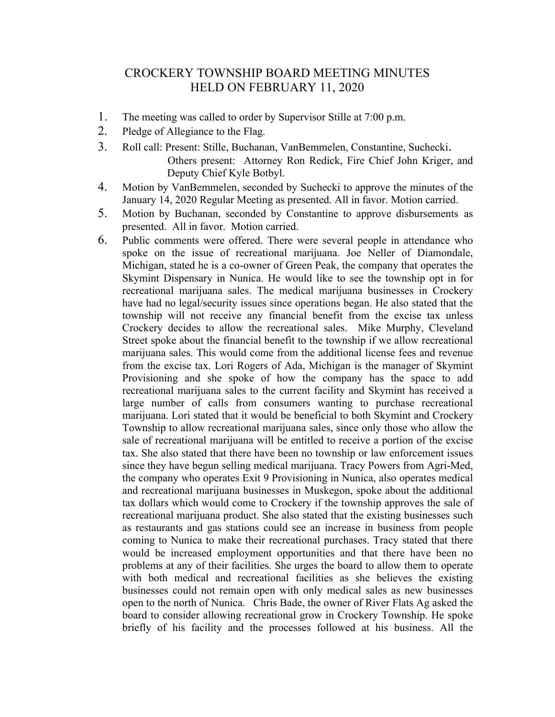## CROCKERY TOWNSHIP BOARD MEETING MINUTES HELD ON FEBRUARY 11, 2020

- 1. The meeting was called to order by Supervisor Stille at 7:00 p.m.
- 2. Pledge of Allegiance to the Flag.
- 3. Roll call: Present: Stille, Buchanan, VanBemmelen, Constantine, Suchecki. Others present: Attorney Ron Redick, Fire Chief John Kriger, and Deputy Chief Kyle Botbyl.
- 4. Motion by VanBemmelen, seconded by Suchecki to approve the minutes of the January 14, 2020 Regular Meeting as presented. All in favor. Motion carried.
- 5. Motion by Buchanan, seconded by Constantine to approve disbursements as presented. All in favor. Motion carried.
- 6. Public comments were offered. There were several people in attendance who spoke on the issue of recreational marijuana. Joe Neller of Diamondale, Michigan, stated he is a co-owner of Green Peak, the company that operates the Skymint Dispensary in Nunica. He would like to see the township opt in for recreational marijuana sales. The medical marijuana businesses in Crockery have had no legal/security issues since operations began. He also stated that the township will not receive any financial benefit from the excise tax unless Crockery decides to allow the recreational sales. Mike Murphy, Cleveland Street spoke about the financial benefit to the township if we allow recreational marijuana sales. This would come from the additional license fees and revenue from the excise tax. Lori Rogers of Ada, Michigan is the manager of Skymint Provisioning and she spoke of how the company has the space to add recreational marijuana sales to the current facility and Skymint has received a large number of calls from consumers wanting to purchase recreational marijuana. Lori stated that it would be beneficial to both Skymint and Crockery Township to allow recreational marijuana sales, since only those who allow the sale of recreational marijuana will be entitled to receive a portion of the excise tax. She also stated that there have been no township or law enforcement issues since they have begun selling medical marijuana. Tracy Powers from Agri-Med, the company who operates Exit 9 Provisioning in Nunica, also operates medical and recreational marijuana businesses in Muskegon, spoke about the additional tax dollars which would come to Crockery if the township approves the sale of recreational marijuana product. She also stated that the existing businesses such as restaurants and gas stations could see an increase in business from people coming to Nunica to make their recreational purchases. Tracy stated that there would be increased employment opportunities and that there have been no problems at any of their facilities. She urges the board to allow them to operate with both medical and recreational facilities as she believes the existing businesses could not remain open with only medical sales as new businesses open to the north of Nunica. Chris Bade, the owner of River Flats Ag asked the board to consider allowing recreational grow in Crockery Township. He spoke briefly of his facility and the processes followed at his business. All the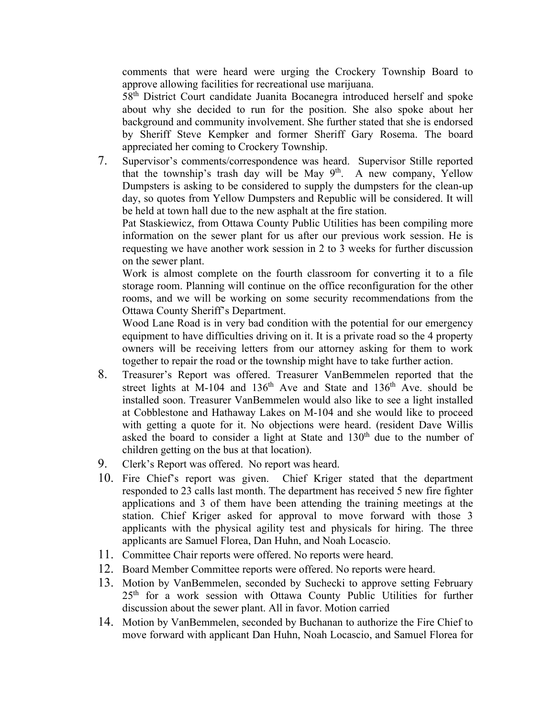comments that were heard were urging the Crockery Township Board to approve allowing facilities for recreational use marijuana.

58th District Court candidate Juanita Bocanegra introduced herself and spoke about why she decided to run for the position. She also spoke about her background and community involvement. She further stated that she is endorsed by Sheriff Steve Kempker and former Sheriff Gary Rosema. The board appreciated her coming to Crockery Township.

7. Supervisor's comments/correspondence was heard. Supervisor Stille reported that the township's trash day will be May  $9<sup>th</sup>$ . A new company, Yellow Dumpsters is asking to be considered to supply the dumpsters for the clean-up day, so quotes from Yellow Dumpsters and Republic will be considered. It will be held at town hall due to the new asphalt at the fire station.

Pat Staskiewicz, from Ottawa County Public Utilities has been compiling more information on the sewer plant for us after our previous work session. He is requesting we have another work session in 2 to 3 weeks for further discussion on the sewer plant.

Work is almost complete on the fourth classroom for converting it to a file storage room. Planning will continue on the office reconfiguration for the other rooms, and we will be working on some security recommendations from the Ottawa County Sheriff's Department.

Wood Lane Road is in very bad condition with the potential for our emergency equipment to have difficulties driving on it. It is a private road so the 4 property owners will be receiving letters from our attorney asking for them to work together to repair the road or the township might have to take further action.

- 8. Treasurer's Report was offered. Treasurer VanBemmelen reported that the street lights at M-104 and  $136<sup>th</sup>$  Ave and State and  $136<sup>th</sup>$  Ave. should be installed soon. Treasurer VanBemmelen would also like to see a light installed at Cobblestone and Hathaway Lakes on M-104 and she would like to proceed with getting a quote for it. No objections were heard. (resident Dave Willis asked the board to consider a light at State and  $130<sup>th</sup>$  due to the number of children getting on the bus at that location).
- 9. Clerk's Report was offered. No report was heard.
- 10. Fire Chief's report was given. Chief Kriger stated that the department responded to 23 calls last month. The department has received 5 new fire fighter applications and 3 of them have been attending the training meetings at the station. Chief Kriger asked for approval to move forward with those 3 applicants with the physical agility test and physicals for hiring. The three applicants are Samuel Florea, Dan Huhn, and Noah Locascio.
- 11. Committee Chair reports were offered. No reports were heard.
- 12. Board Member Committee reports were offered. No reports were heard.
- 13. Motion by VanBemmelen, seconded by Suchecki to approve setting February 25<sup>th</sup> for a work session with Ottawa County Public Utilities for further discussion about the sewer plant. All in favor. Motion carried
- 14. Motion by VanBemmelen, seconded by Buchanan to authorize the Fire Chief to move forward with applicant Dan Huhn, Noah Locascio, and Samuel Florea for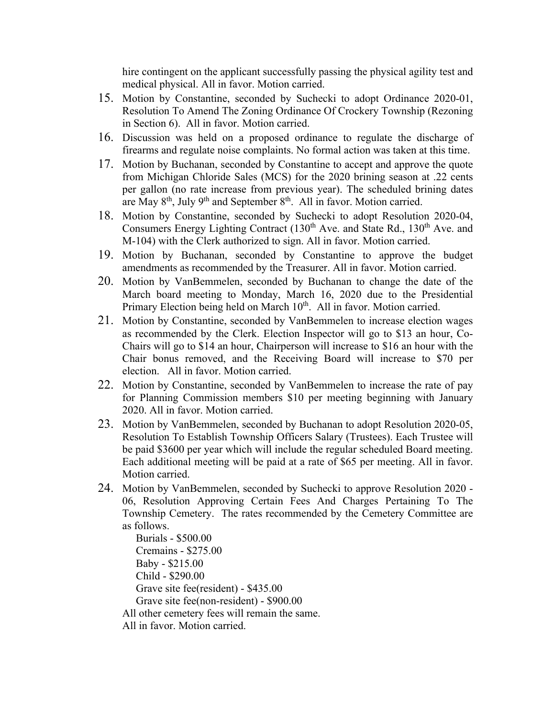hire contingent on the applicant successfully passing the physical agility test and medical physical. All in favor. Motion carried.

- 15. Motion by Constantine, seconded by Suchecki to adopt Ordinance 2020-01, Resolution To Amend The Zoning Ordinance Of Crockery Township (Rezoning in Section 6). All in favor. Motion carried.
- 16. Discussion was held on a proposed ordinance to regulate the discharge of firearms and regulate noise complaints. No formal action was taken at this time.
- 17. Motion by Buchanan, seconded by Constantine to accept and approve the quote from Michigan Chloride Sales (MCS) for the 2020 brining season at .22 cents per gallon (no rate increase from previous year). The scheduled brining dates are May  $8<sup>th</sup>$ , July  $9<sup>th</sup>$  and September  $8<sup>th</sup>$ . All in favor. Motion carried.
- 18. Motion by Constantine, seconded by Suchecki to adopt Resolution 2020-04, Consumers Energy Lighting Contract  $(130<sup>th</sup>$  Ave. and State Rd.,  $130<sup>th</sup>$  Ave. and M-104) with the Clerk authorized to sign. All in favor. Motion carried.
- 19. Motion by Buchanan, seconded by Constantine to approve the budget amendments as recommended by the Treasurer. All in favor. Motion carried.
- 20. Motion by VanBemmelen, seconded by Buchanan to change the date of the March board meeting to Monday, March 16, 2020 due to the Presidential Primary Election being held on March 10<sup>th</sup>. All in favor. Motion carried.
- 21. Motion by Constantine, seconded by VanBemmelen to increase election wages as recommended by the Clerk. Election Inspector will go to \$13 an hour, Co-Chairs will go to \$14 an hour, Chairperson will increase to \$16 an hour with the Chair bonus removed, and the Receiving Board will increase to \$70 per election. All in favor. Motion carried.
- 22. Motion by Constantine, seconded by VanBemmelen to increase the rate of pay for Planning Commission members \$10 per meeting beginning with January 2020. All in favor. Motion carried.
- 23. Motion by VanBemmelen, seconded by Buchanan to adopt Resolution 2020-05, Resolution To Establish Township Officers Salary (Trustees). Each Trustee will be paid \$3600 per year which will include the regular scheduled Board meeting. Each additional meeting will be paid at a rate of \$65 per meeting. All in favor. Motion carried.
- 24. Motion by VanBemmelen, seconded by Suchecki to approve Resolution 2020 06, Resolution Approving Certain Fees And Charges Pertaining To The Township Cemetery. The rates recommended by the Cemetery Committee are as follows.

 Burials - \$500.00 Cremains - \$275.00 Baby - \$215.00 Child - \$290.00 Grave site fee(resident) - \$435.00 Grave site fee(non-resident) - \$900.00

All other cemetery fees will remain the same.

All in favor. Motion carried.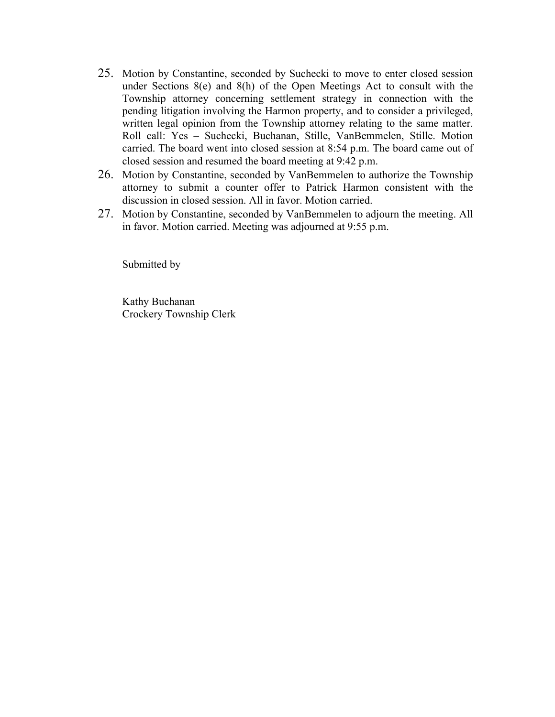- 25. Motion by Constantine, seconded by Suchecki to move to enter closed session under Sections 8(e) and 8(h) of the Open Meetings Act to consult with the Township attorney concerning settlement strategy in connection with the pending litigation involving the Harmon property, and to consider a privileged, written legal opinion from the Township attorney relating to the same matter. Roll call: Yes – Suchecki, Buchanan, Stille, VanBemmelen, Stille. Motion carried. The board went into closed session at 8:54 p.m. The board came out of closed session and resumed the board meeting at 9:42 p.m.
- 26. Motion by Constantine, seconded by VanBemmelen to authorize the Township attorney to submit a counter offer to Patrick Harmon consistent with the discussion in closed session. All in favor. Motion carried.
- 27. Motion by Constantine, seconded by VanBemmelen to adjourn the meeting. All in favor. Motion carried. Meeting was adjourned at 9:55 p.m.

Submitted by

Kathy Buchanan Crockery Township Clerk